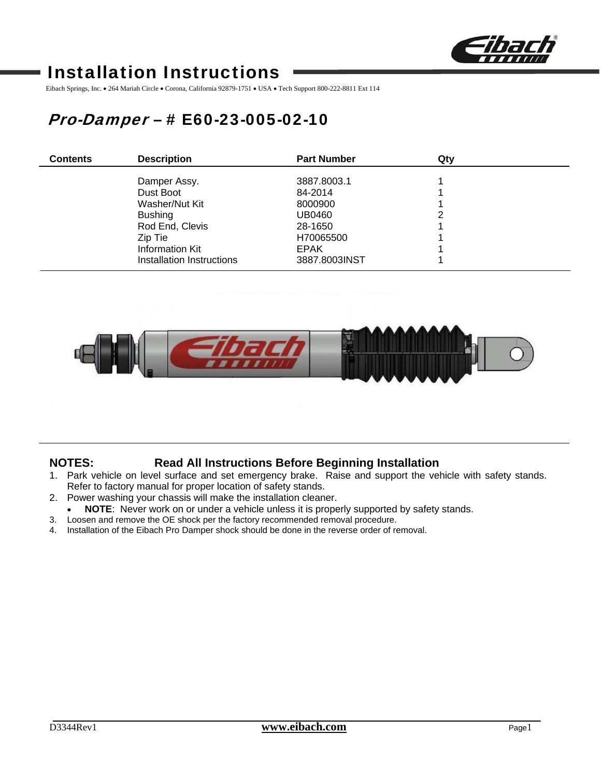

# Installation Instructions

Eibach Springs, Inc. • 264 Mariah Circle • Corona, California 92879-1751 • USA • Tech Support 800-222-8811 Ext 114

# Pro-Damper – # E60-23-005-02-10

| <b>Contents</b> | <b>Description</b>        | <b>Part Number</b> | Qtv |  |
|-----------------|---------------------------|--------------------|-----|--|
|                 | Damper Assy.              | 3887.8003.1        |     |  |
|                 | Dust Boot                 | 84-2014            |     |  |
|                 | Washer/Nut Kit            | 8000900            |     |  |
|                 | <b>Bushing</b>            | UB0460             | າ   |  |
|                 | Rod End, Clevis           | 28-1650            |     |  |
|                 | Zip Tie                   | H70065500          |     |  |
|                 | Information Kit           | <b>EPAK</b>        |     |  |
|                 | Installation Instructions | 3887.8003INST      |     |  |



## **NOTES: Read All Instructions Before Beginning Installation**

- 1. Park vehicle on level surface and set emergency brake. Raise and support the vehicle with safety stands. Refer to factory manual for proper location of safety stands.
- 2. Power washing your chassis will make the installation cleaner.
- **NOTE**: Never work on or under a vehicle unless it is properly supported by safety stands.
- 3. Loosen and remove the OE shock per the factory recommended removal procedure.
- 4. Installation of the Eibach Pro Damper shock should be done in the reverse order of removal.